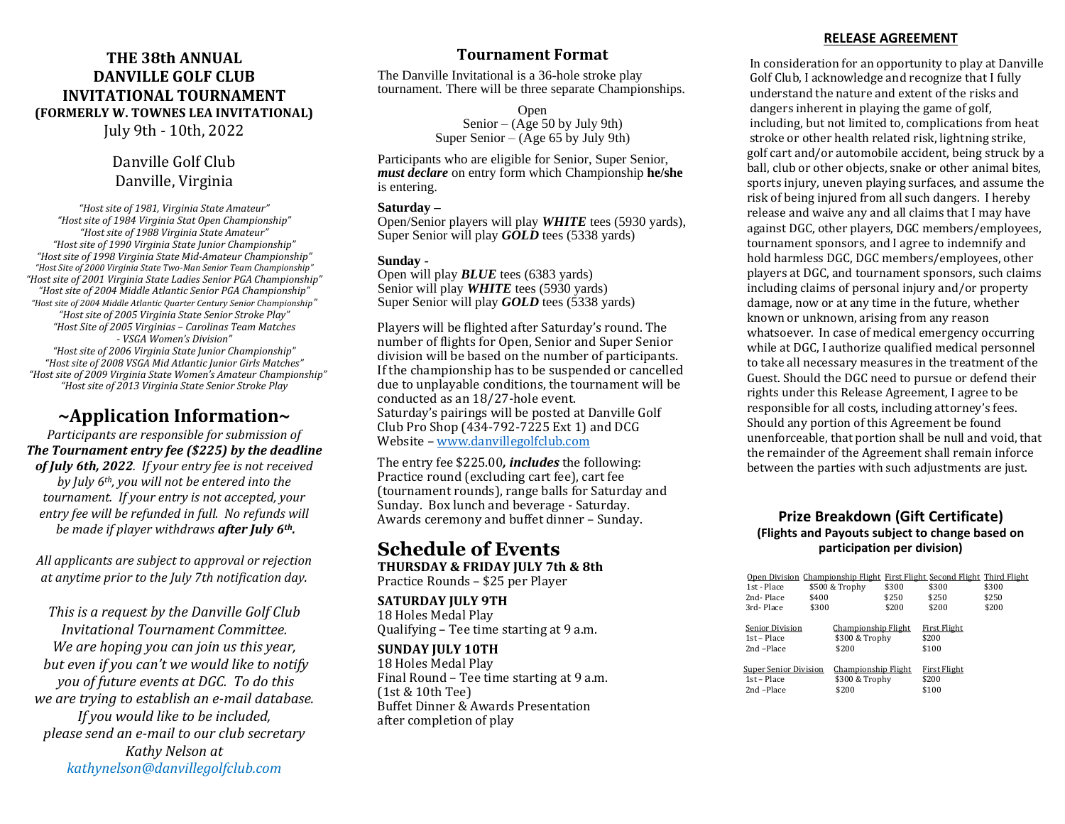### **THE 38th ANNUAL DANVILLE GOLF CLUB INVITATIONAL TOURNAMENT (FORMERLY W. TOWNES LEA INVITATIONAL)** July 9th - 10th, 2022

## Danville Golf Club Danville, Virginia

*"Host site of 1981, Virginia State Amateur" "Host site of 1984 Virginia Stat Open Championship" "Host site of 1988 Virginia State Amateur" "Host site of 1990 Virginia State Junior Championship" "Host site of 1998 Virginia State Mid-Amateur Championship" "Host Site of 2000 Virginia State Two-Man Senior Team Championship" "Host site of 2001 Virginia State Ladies Senior PGA Championship" "Host site of 2004 Middle Atlantic Senior PGA Championship" "Host site of 2004 Middle Atlantic Quarter Century Senior Championship" "Host site of 2005 Virginia State Senior Stroke Play" "Host Site of 2005 Virginias – Carolinas Team Matches - VSGA Women's Division" "Host site of 2006 Virginia State Junior Championship" "Host site of 2008 VSGA Mid Atlantic Junior Girls Matches" "Host site of 2009 Virginia State Women's Amateur Championship" "Host site of 2013 Virginia State Senior Stroke Play*

## **~Application Information~**

*Participants are responsible for submission of The Tournament entry fee (\$225) by the deadline of July 6th, 2022. If your entry fee is not received by July 6th, you will not be entered into the tournament. If your entry is not accepted, your entry fee will be refunded in full. No refunds will be made if player withdraws after July 6th.*

*All applicants are subject to approval or rejection at anytime prior to the July 7th notification day.*

*This is a request by the Danville Golf Club Invitational Tournament Committee. We are hoping you can join us this year, but even if you can't we would like to notify you of future events at DGC. To do this we are trying to establish an e-mail database. If you would like to be included, please send an e-mail to our club secretary Kathy Nelson at kathynelson@danvillegolfclub.com*

## **Tournament Format**

The Danville Invitational is a 36-hole stroke play tournament. There will be three separate Championships.

> Open Senior – (Age 50 by July 9th) Super Senior – ( $\bar{A}$ ge 65 by July 9th)

Participants who are eligible for Senior, Super Senior, *must declare* on entry form which Championship **he/she** is entering.

#### **Saturday –**

Open/Senior players will play *WHITE* tees (5930 yards), Super Senior will play *GOLD* tees (5338 yards)

#### **Sunday -**

Open will play *BLUE* tees (6383 yards) Senior will play **WHITE** tees (5930 yards) Super Senior will play *GOLD* tees (5338 yards)

Players will be flighted after Saturday's round. The number of flights for Open, Senior and Super Senior division will be based on the number of participants. If the championship has to be suspended or cancelled due to unplayable conditions, the tournament will be conducted as an 18/27-hole event. Saturday's pairings will be posted at Danville Golf Club Pro Shop (434-792-7225 Ext 1) and DCG Website – [www.danvillegolfclub.com](http://www.danvillegolfclub.com/)

The entry fee \$225.00*, includes* the following: Practice round (excluding cart fee), cart fee (tournament rounds), range balls for Saturday and Sunday. Box lunch and beverage - Saturday. Awards ceremony and buffet dinner – Sunday.

#### **Schedule of Events THURSDAY & FRIDAY JULY 7th & 8th**  Practice Rounds – \$25 per Player

**SATURDAY JULY 9TH** 

18 Holes Medal Play Qualifying – Tee time starting at 9 a.m.

#### **SUNDAY JULY 10TH**

18 Holes Medal Play Final Round – Tee time starting at 9 a.m. (1st & 10th Tee) Buffet Dinner & Awards Presentation after completion of play

#### **RELEASE AGREEMENT**

 In consideration for an opportunity to play at Danville Golf Club, I acknowledge and recognize that I fully understand the nature and extent of the risks and dangers inherent in playing the game of golf, including, but not limited to, complications from heat stroke or other health related risk, lightning strike, golf cart and/or automobile accident, being struck by a ball, club or other objects, snake or other animal bites, sports injury, uneven playing surfaces, and assume the risk of being injured from all such dangers. I hereby release and waive any and all claims that I may have against DGC, other players, DGC members/employees, tournament sponsors, and I agree to indemnify and hold harmless DGC, DGC members/employees, other players at DGC, and tournament sponsors, such claims including claims of personal injury and/or property damage, now or at any time in the future, whether known or unknown, arising from any reason whatsoever. In case of medical emergency occurring while at DGC, I authorize qualified medical personnel to take all necessary measures in the treatment of the Guest. Should the DGC need to pursue or defend their rights under this Release Agreement, I agree to be responsible for all costs, including attorney's fees. Should any portion of this Agreement be found unenforceable, that portion shall be null and void, that the remainder of the Agreement shall remain inforce between the parties with such adjustments are just.

#### **Prize Breakdown (Gift Certificate) (Flights and Payouts subject to change based on participation per division)**

| Open Division Championship Flight First Flight Second Flight Third Flight<br>\$300<br>1st - Place<br>\$500 & Trophy<br>\$300<br>\$250<br>\$250<br>2nd-Place<br>\$400<br>\$200<br>\$300<br>\$200<br>3rd-Place |       |
|--------------------------------------------------------------------------------------------------------------------------------------------------------------------------------------------------------------|-------|
|                                                                                                                                                                                                              |       |
|                                                                                                                                                                                                              | \$300 |
|                                                                                                                                                                                                              | \$250 |
|                                                                                                                                                                                                              | \$200 |
|                                                                                                                                                                                                              |       |
| Championship Flight<br><b>First Flight</b><br>Senior Division                                                                                                                                                |       |
| \$300 & Trophy<br>\$200<br>1st – Place                                                                                                                                                                       |       |
| 2nd-Place<br>\$200<br>\$100                                                                                                                                                                                  |       |
|                                                                                                                                                                                                              |       |
| Championship Flight<br>First Flight<br><b>Super Senior Division</b>                                                                                                                                          |       |
| 1st – Place<br>\$300 & Trophy<br>\$200                                                                                                                                                                       |       |
| \$100<br>\$200<br>2nd-Place                                                                                                                                                                                  |       |